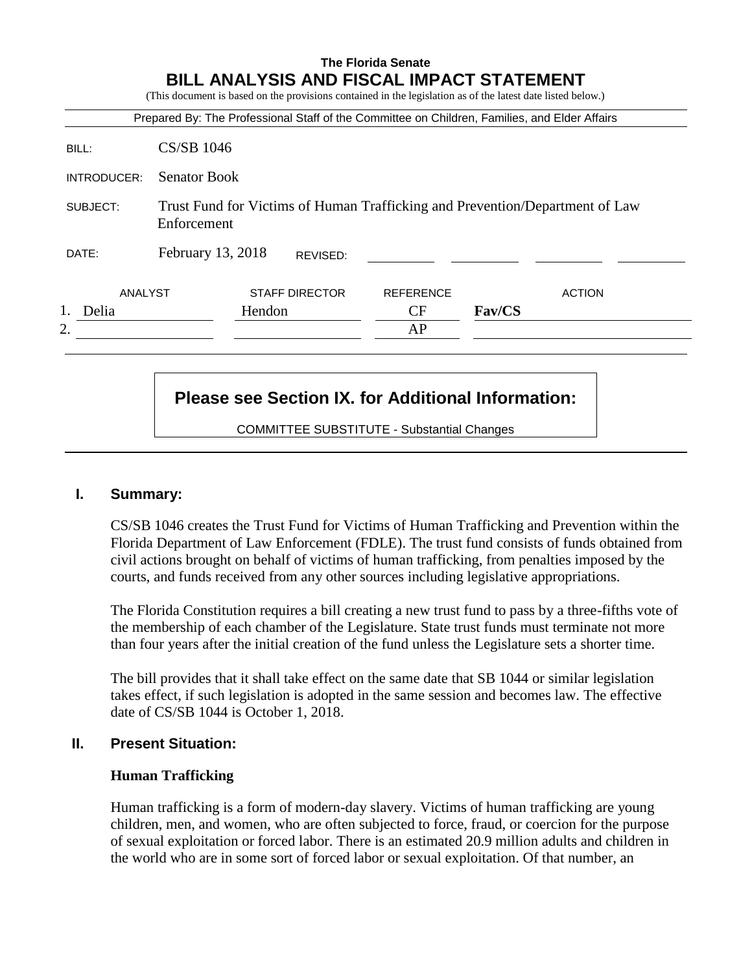|             | Prepared By: The Professional Staff of the Committee on Children, Families, and Elder Affairs |                       |                  |        |               |
|-------------|-----------------------------------------------------------------------------------------------|-----------------------|------------------|--------|---------------|
| BILL:       | <b>CS/SB 1046</b>                                                                             |                       |                  |        |               |
| INTRODUCER: | <b>Senator Book</b>                                                                           |                       |                  |        |               |
| SUBJECT:    | Trust Fund for Victims of Human Trafficking and Prevention/Department of Law<br>Enforcement   |                       |                  |        |               |
|             |                                                                                               |                       |                  |        |               |
| DATE:       | February 13, 2018                                                                             | REVISED:              |                  |        |               |
| ANALYST     |                                                                                               | <b>STAFF DIRECTOR</b> | <b>REFERENCE</b> |        | <b>ACTION</b> |
| Delia       |                                                                                               | Hendon                | CF               | Fav/CS |               |

# **Please see Section IX. for Additional Information:**

COMMITTEE SUBSTITUTE - Substantial Changes

### **I. Summary:**

CS/SB 1046 creates the Trust Fund for Victims of Human Trafficking and Prevention within the Florida Department of Law Enforcement (FDLE). The trust fund consists of funds obtained from civil actions brought on behalf of victims of human trafficking, from penalties imposed by the courts, and funds received from any other sources including legislative appropriations.

The Florida Constitution requires a bill creating a new trust fund to pass by a three-fifths vote of the membership of each chamber of the Legislature. State trust funds must terminate not more than four years after the initial creation of the fund unless the Legislature sets a shorter time.

The bill provides that it shall take effect on the same date that SB 1044 or similar legislation takes effect, if such legislation is adopted in the same session and becomes law. The effective date of CS/SB 1044 is October 1, 2018.

#### **II. Present Situation:**

#### **Human Trafficking**

Human trafficking is a form of modern-day slavery. Victims of human trafficking are young children, men, and women, who are often subjected to force, fraud, or coercion for the purpose of sexual exploitation or forced labor. There is an estimated 20.9 million adults and children in the world who are in some sort of forced labor or sexual exploitation. Of that number, an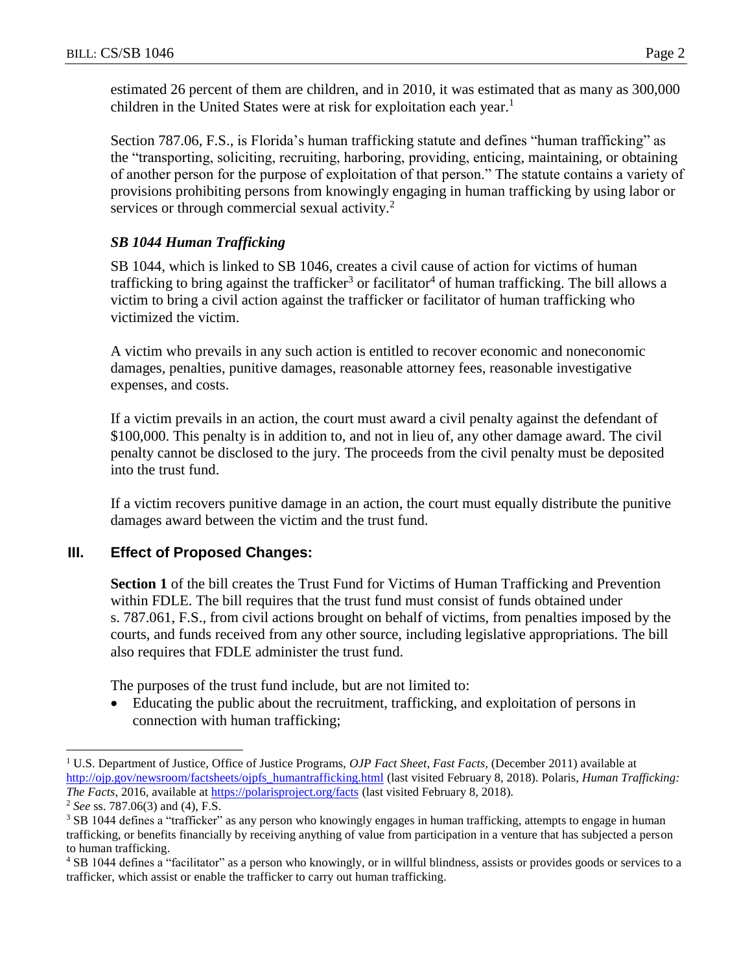estimated 26 percent of them are children, and in 2010, it was estimated that as many as 300,000 children in the United States were at risk for exploitation each year.<sup>1</sup>

Section 787.06, F.S., is Florida's human trafficking statute and defines "human trafficking" as the "transporting, soliciting, recruiting, harboring, providing, enticing, maintaining, or obtaining of another person for the purpose of exploitation of that person." The statute contains a variety of provisions prohibiting persons from knowingly engaging in human trafficking by using labor or services or through commercial sexual activity.<sup>2</sup>

# *SB 1044 Human Trafficking*

SB 1044, which is linked to SB 1046, creates a civil cause of action for victims of human trafficking to bring against the trafficker<sup>3</sup> or facilitator<sup>4</sup> of human trafficking. The bill allows a victim to bring a civil action against the trafficker or facilitator of human trafficking who victimized the victim.

A victim who prevails in any such action is entitled to recover economic and noneconomic damages, penalties, punitive damages, reasonable attorney fees, reasonable investigative expenses, and costs.

If a victim prevails in an action, the court must award a civil penalty against the defendant of \$100,000. This penalty is in addition to, and not in lieu of, any other damage award. The civil penalty cannot be disclosed to the jury. The proceeds from the civil penalty must be deposited into the trust fund.

If a victim recovers punitive damage in an action, the court must equally distribute the punitive damages award between the victim and the trust fund.

# **III. Effect of Proposed Changes:**

**Section 1** of the bill creates the Trust Fund for Victims of Human Trafficking and Prevention within FDLE. The bill requires that the trust fund must consist of funds obtained under s. 787.061, F.S., from civil actions brought on behalf of victims, from penalties imposed by the courts, and funds received from any other source, including legislative appropriations. The bill also requires that FDLE administer the trust fund.

The purposes of the trust fund include, but are not limited to:

 Educating the public about the recruitment, trafficking, and exploitation of persons in connection with human trafficking;

 $\overline{a}$ 

<sup>1</sup> U.S. Department of Justice, Office of Justice Programs, *OJP Fact Sheet*, *Fast Facts,* (December 2011) available at [http://ojp.gov/newsroom/factsheets/ojpfs\\_humantrafficking.html](http://ojp.gov/newsroom/factsheets/ojpfs_humantrafficking.html) (last visited February 8, 2018). Polaris, *Human Trafficking: The Facts*, 2016, available at **https://polarisproject.org/facts** (last visited February 8, 2018).

<sup>2</sup> *See* ss. 787.06(3) and (4), F.S.

<sup>&</sup>lt;sup>3</sup> SB 1044 defines a "trafficker" as any person who knowingly engages in human trafficking, attempts to engage in human trafficking, or benefits financially by receiving anything of value from participation in a venture that has subjected a person to human trafficking.

<sup>4</sup> SB 1044 defines a "facilitator" as a person who knowingly, or in willful blindness, assists or provides goods or services to a trafficker, which assist or enable the trafficker to carry out human trafficking.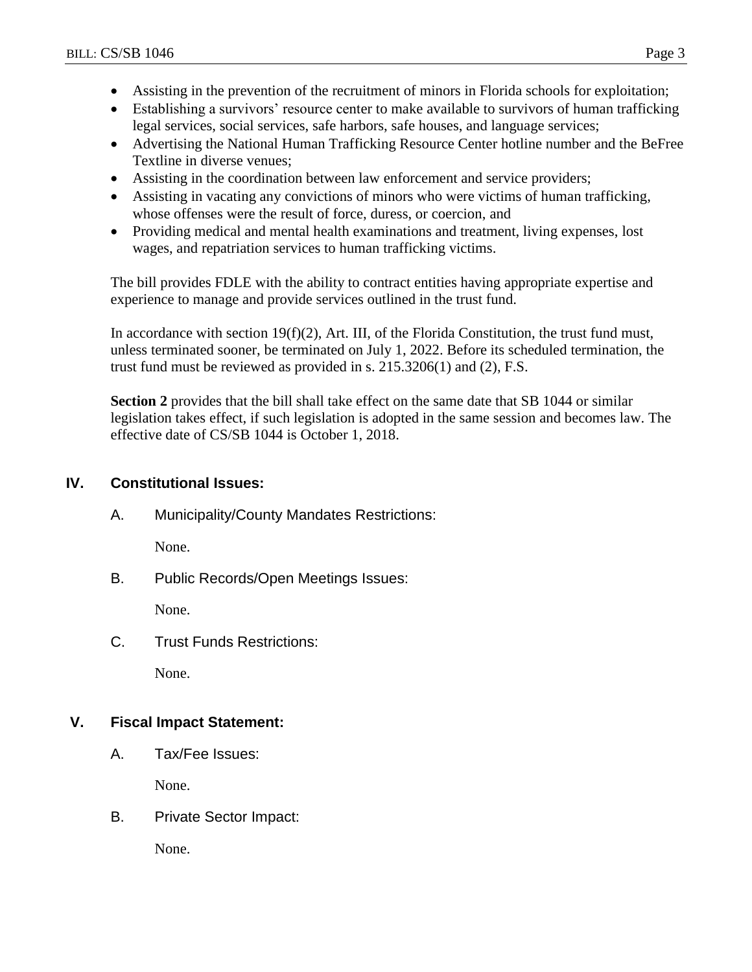- Assisting in the prevention of the recruitment of minors in Florida schools for exploitation;
- Establishing a survivors' resource center to make available to survivors of human trafficking legal services, social services, safe harbors, safe houses, and language services;
- Advertising the National Human Trafficking Resource Center hotline number and the BeFree Textline in diverse venues;
- Assisting in the coordination between law enforcement and service providers;
- Assisting in vacating any convictions of minors who were victims of human trafficking, whose offenses were the result of force, duress, or coercion, and
- Providing medical and mental health examinations and treatment, living expenses, lost wages, and repatriation services to human trafficking victims.

The bill provides FDLE with the ability to contract entities having appropriate expertise and experience to manage and provide services outlined in the trust fund.

In accordance with section  $19(f)(2)$ , Art. III, of the Florida Constitution, the trust fund must, unless terminated sooner, be terminated on July 1, 2022. Before its scheduled termination, the trust fund must be reviewed as provided in s. 215.3206(1) and (2), F.S.

**Section 2** provides that the bill shall take effect on the same date that SB 1044 or similar legislation takes effect, if such legislation is adopted in the same session and becomes law. The effective date of CS/SB 1044 is October 1, 2018.

# **IV. Constitutional Issues:**

A. Municipality/County Mandates Restrictions:

None.

B. Public Records/Open Meetings Issues:

None.

C. Trust Funds Restrictions:

None.

## **V. Fiscal Impact Statement:**

A. Tax/Fee Issues:

None.

B. Private Sector Impact:

None.